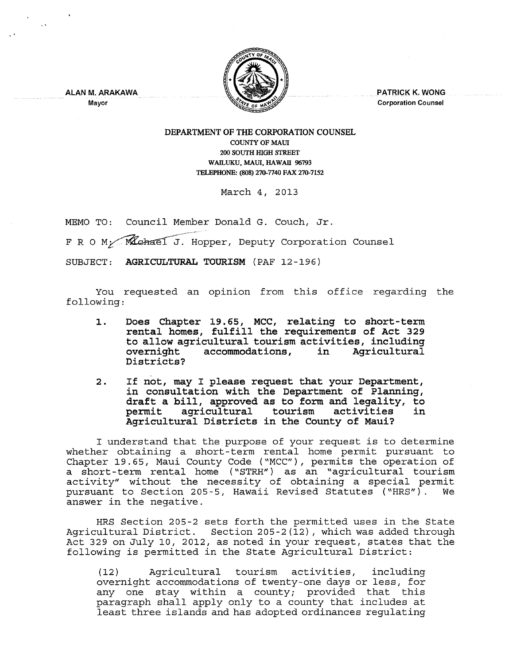

PATRICK K. WONG Corporation Counsel

ALAN M. ARAKAWA Mayor

## DEPARTMENT OF THE CORPORATION COUNSEL COUNTY OF MAUl 200 SOUTH InGH STREET WAILUKU, MAUI, HAWAII 96793 TELEPHONE: (808) 270-7740 FAX 270-7152

March 4, 2013

MEMO TO: Council Member Donald G. Couch, Jr.

F R O M: Mchael J. Hopper, Deputy Corporation Counsel

SUBJECT: AGRICULTURAL TOURISM (PAF 12-196)

You requested an opinion from this office regarding the following:

- 1. Does Chapter 19.65, MCC, relating to short-term rental homes, fulfill the requirements of Act 329 to allow agricultural tourism activities, including accommodations, in Districts?
- 2. If not, may I please request that your Department, in consultation with the Department of Planning, In consultation with the bepartment of Fianning,<br>draft a bill, approved as to form and legality, to permit agricultural tourism activities in permit agricultural tourism activities<br>Agricultural Districts in the County of Maui?

I understand that the purpose of your request is to determine whether obtaining a short-term rental home permit pursuant to Chapter 19.65, Maui County Code ("MCC"), permits the operation of a short-term rental home ( "STRH") as an "agricultural tourism activity" without the necessity of obtaining a special permit pursuant to Section 205-5, Hawaii Revised Statutes ("HRS"). We answer in the negative.

HRS Section 205-2 sets forth the permitted uses in the State Agricultural District. Section 205-2(12), which was added through Act 329 on July 10, 2012, as noted in your request, states that the following is permitted in the State Agricultural District:

(12) Agricultural tourism activities, including overnight accommodations of twenty-one days or less, for any one stay within a county; provided that this paragraph shall apply only to a county that includes at least three islands and has adopted ordinances regulating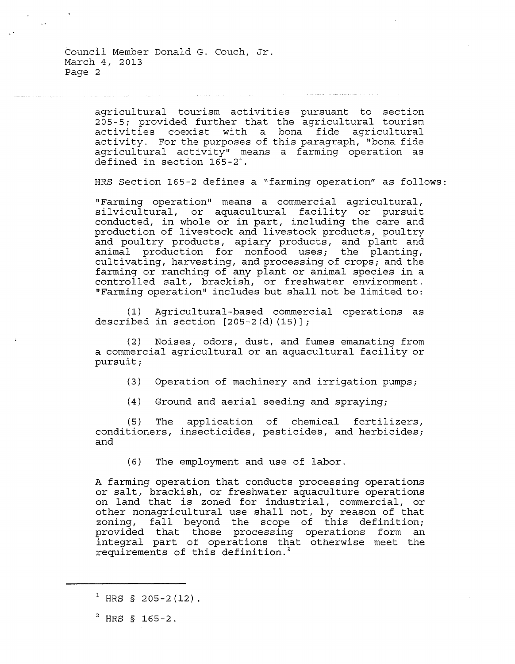Council Member Donald G. Couch, Jr. March 4, 2013 Page 2

> agricultural tourism activities pursuant to section 205-5; provided further that the agricultural tourism activities coexist with a bona fide agricultural activity. For the purposes of this paragraph, "bona fide agricultural activity" means a farming operation as defined in section  $165-2^1$ .

HRS Section 165-2 defines a "farming operation" as follows:

"Farming operation" means a commercial agricultural, silvicultural, or aquacultural facility or pursuit conducted, in whole or in part, including the care and production of livestock and livestock products, poultry and poultry products, apiary products, and plant and animal production for nonfood uses; the planting, cultivating, harvesting, and processing of crops; and the farming or ranching of any plant or animal species in a controlled salt, brackish, or freshwater environment. "Farming operation" includes but shall not be limited to:

(1) Agricultural-based commercial operations as described in section  $[205-2(d) (15)]$ ;

(2) Noises, odors, dust, and fumes emanating from a commercial agricultural or an aquacultural facility or pursuit;

- (3) Operation of machinery and irrigation pumps;
- (4) Ground and aerial seeding and spraying;

(5) The conditioners, insecticides, pesticides, and herbicides; and application of chemical fertilizers,

(6) The employment and use of labor.

A farming operation that conducts processing operations or salt, brackish, or freshwater aquaculture operations on land that is zoned for industrial, commercial, or other nonagricultural use shall not, by reason of that zoning, fall beyond the scope of this definition; provided that those processing operations form an integral part of operations that otherwise meet the requirements of this definition.<sup>2</sup>

<sup>&</sup>lt;sup>1</sup> HRS § 205-2(12).

 $2$  HRS § 165-2.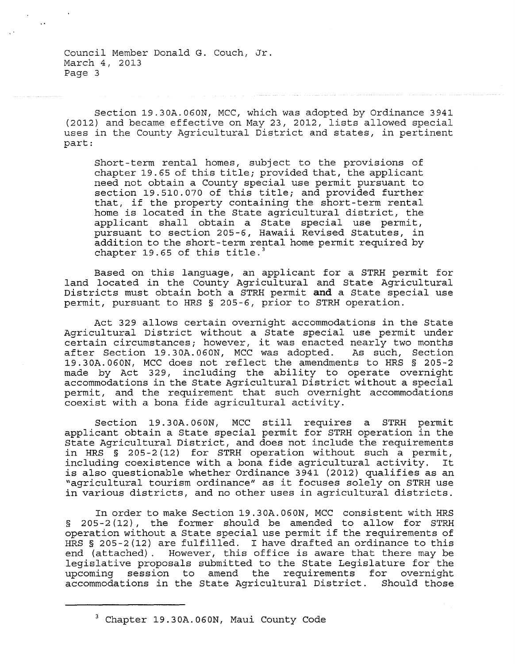Council Member Donald G. Couch, Jr. March 4, 2013 Page 3

Section 19.30A.060N, MCC, which was adopted by Ordinance 3941 (2012) and became effective on May 23, 2012, lists allowed special uses in the County Agricultural District and states, in pertinent part:

Short-term rental homes, subject to the provisions of chapter 19.65 of this title; provided that, the applicant need not obtain a County special use permit pursuant to section 19.510.070 of this title; and provided further that, if the property containing the short-term rental home is located in the State agricultural district, the applicant shall obtain a State special use permit, pursuant to section 205-6, Hawaii Revised Statutes, in addition to the short-term rental home permit required by chapter 19.65 of this title.<sup>3</sup>

Based on this language, an applicant for a STRH permit for land located in the County Agricultural and State Agricultural Districts must obtain both a STRH permit **and** a State special use permit, pursuant to HRS § 205-6, prior to STRH operation.

Act 329 allows certain overnight accommodations in the State Agricultural District without a State special use permit under certain circumstances; however, it was enacted nearly two months<br>after Section 19.30A.060N, MCC was adopted. As such, Section after Section 19.30A.060N, MCC was adopted. 19.30A.060N, MCC does not reflect the amendments to HRS § 205-2 made by Act 329, including the ability to operate overnight accommodations in the State Agricultural District without a special permit, and the requirement that such overnight accommodations coexist with a bona fide agricultural activity.

Section 19.30A.060N, MCC still requires a STRH permit applicant obtain a State special permit for STRH operation in the State Agricultural District, and does not include the requirements in HRS § 205-2 (12) for STRH operation without such a permit, including coexistence with a bona fide agricultural activity. is also questionable whether Ordinance 3941 (2012) qualifies as an "agricultural tourism ordinance" as it focuses solely on STRH use in various districts, and no other uses in agricultural districts.

In order to make Section 19.30A.060N, MCC consistent with HRS § 205-2(12), the former should be amended to allow for STRH operation without a State special use permit if the requirements of HRS § 205-2(12) are fulfilled. I have drafted an ordinance to this end (attached). However, this office is aware that there may be legislative proposals submitted to the State Legislature for the upcoming session to amend the requirements for overnight<br>accommodations in the State Agricultural District. Should those accommodations in the State Agricultural District.

<sup>&</sup>lt;sup>3</sup> Chapter 19.30A.060N, Maui County Code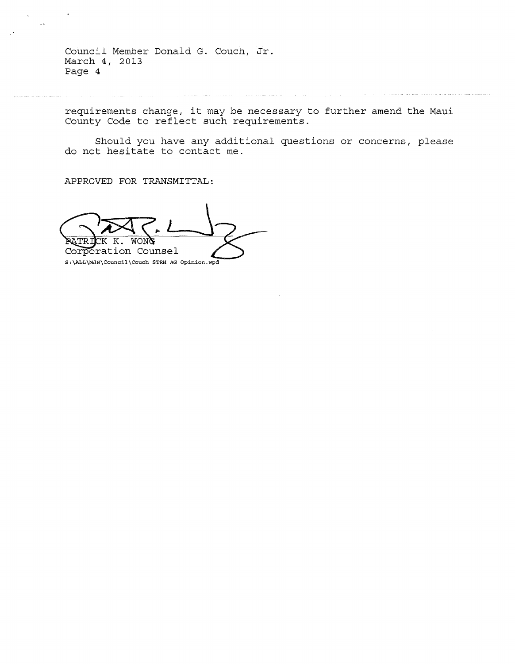Council Member Donald G. Couch, Jr. March 4, 2013 Page 4

requirements change, it may be necessary to further amend the Maui County Code to reflect such requirements.

Should you have any additional questions or concerns, please do not hesitate to contact me.

APPROVED FOR TRANSMITTAL:

 $\ddot{\phantom{0}}$ 

 $\ddot{\phantom{a}}$ 

RATRI **MONG** Corporation Counsel S:\ALL\MJH\Council\Couch STRH AG Opinion.wpd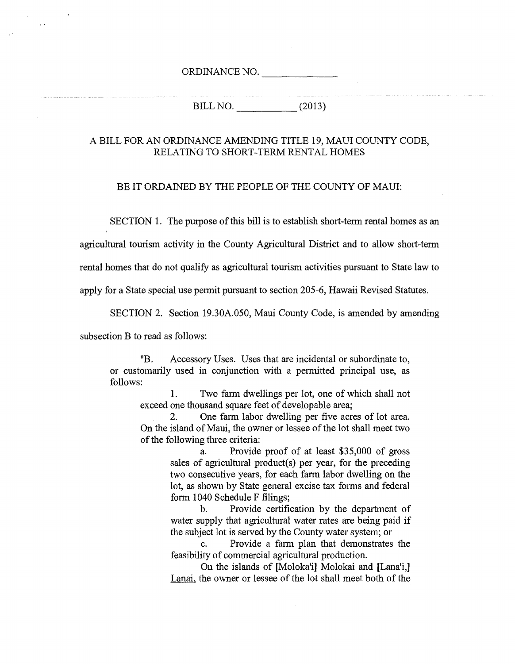ORDINANCE NO.

BILL NO. \_\_\_\_ (2013)

## A BILL FOR AN ORDINANCE AMENDING TITLE 19, MAUl COUNTY CODE, RELATING TO SHORT-TERM RENTAL HOMES

## BE IT ORDAINED BY THE PEOPLE OF THE COUNTY OF MAUI:

SECTION 1. The purpose of this bill is to establish short-term rental homes as an

agricultural tourism activity in the County Agricultural District and to allow short-term

rental homes that do not qualify as agricultural tourism activities pursuant to State law to

apply for a State special use permit pursuant to section 205-6, Hawaii Revised Statutes.

SECTION 2. Section 19.30A.050, Maui County Code, is amended by amending

subsection B to read as follows:

 $\ddot{\phantom{a}}$ 

"B. Accessory Uses. Uses that are incidental or subordinate to, or customarily used in conjunction with a permitted principal use, as follows:

1. Two farm dwellings per lot, one of which shall not exceed one thousand square feet of developable area;

2. One farm labor dwelling per five acres of lot area. On the island of Maui, the owner or lessee of the lot shall meet two of the following three criteria:

> a. Provide proof of at least \$35,000 of gross sales of agricultural product(s) per year, for the preceding two consecutive years, for each farm labor dwelling on the lot, as shown by State general excise tax forms and federal form 1040 Schedule F filings;

> b. Provide certification by the department of water supply that agricultural water rates are being paid if the subject lot is served by the County water system; or

> c. Provide a farm plan that demonstrates the feasibility of commercial agricultural production.

> On the islands of [Moloka'i] Molokai and [Lana'i,] Lanai, the owner or lessee of the lot shall meet both of the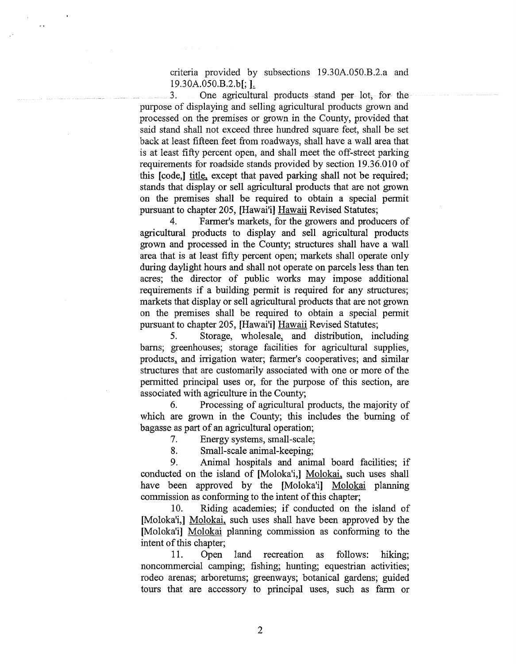criteria provided by subsections 19.30A.050.B.2.a and 19.30A.050.B.2.b[; L

 $\sim$ 

3. One agricultural products stand per lot, for the purpose of displaying and selling agricultural products grown and processed on the premises or grown in the County, provided that said stand shall not exceed three hundred square feet, shall be set back at least fifteen feet from roadways, shall have a wall area that is at least fifty percent open, and shall meet the off-street parking requirements for roadside stands provided by section 19.36.010 of this [code,] title, except that paved parking shall not be required; stands that display or sell agricultural products that are not grown on the premises shall be required to obtain a special permit pursuant to chapter 205, [Hawai'i] Hawaii Revised Statutes;

4. Farmer's markets, for the growers and producers of agricultural products to display and sell agricultural products grown and processed in the County; structures shall have a wall area that is at least fifty percent open; markets shall operate only during daylight hours and shall not operate on parcels less than ten acres; the director of public works may impose additional requirements if a building permit is required for any structures; markets that display or sell agricultural products that are not grown on the premises shall be required to obtain a special permit pursuant to chapter 205, [Hawai'i] Hawaii Revised Statutes;

5. Storage, wholesale, and distribution, including barns; greenhouses; storage facilities for agricultural supplies, products, and irrigation water; farmer's cooperatives; and similar structures that are customarily associated with one or more of the permitted principal uses or, for the purpose of this section, are associated with agriculture in the County;

6. Processing of agricultural products, the majority of which are grown in the County; this includes the burning of bagasse as part of an agricultural operation;

7. Energy systems, small-scale;

8. Small-scale animal-keeping;

9. Animal hospitals and animal board facilities; if conducted on the island of [Moloka'i,] Molokai, such uses shall have been approved by the [Moloka'i] Molokai planning commission as conforming to the intent of this chapter;

10. Riding academies; if conducted on the island of [Moloka'i,] Molokai, such uses shall have been approved by the [Moloka'i] Molokai planning commission as conforming to the intent of this chapter;

11. Open land recreation as follows: hiking; noncommercial camping; fishing; hunting; equestrian activities; rodeo arenas; arboretums; greenways; botanical gardens; guided tours that are accessory to principal uses, such as farm or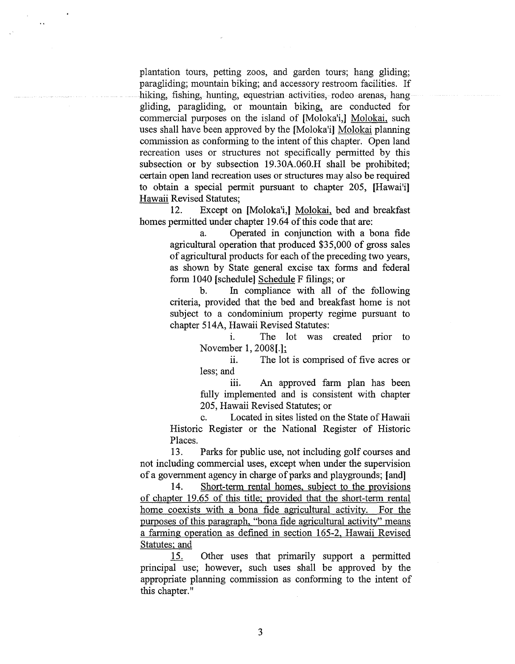plantation tours, petting zoos, and garden tours; hang gliding; paragliding; mountain biking; and accessory restroom facilities. If hiking, fishing, hunting, equestrian activities, rodeo arenas, hang gliding, paragliding, or mountain biking, are conducted for commercial purposes on the island of [Moloka'i,] Molokai, such uses shall have been approved by the [Moloka'i] Molokai planning commission as conforming to the intent of this chapter. Open land recreation uses or structures not specifically permitted by this subsection or by subsection 19.30A.060.H shall be prohibited; certain open land recreation uses or structures may also be required to obtain a special permit pursuant to chapter 205, [Hawai'i] Hawaii Revised Statutes;

 $\ddot{\phantom{a}}$ 

12. Except on [Moloka'i,] Molokai, bed and breakfast homes permitted under chapter 19.64 of this code that are:

> a. Operated in conjunction with a bona fide agricultural operation that produced \$35,000 of gross sales of agricultural products for each of the preceding two years, as shown by State general excise tax forms and federal form 1040 [schedule] Schedule F filings; or

> b. In compliance with all of the following criteria, provided that the bed and breakfast home is not subject to a condominium property regime pursuant to chapter 514A, Hawaii Revised Statutes:

> > i. The lot was created prior to November 1, 2008[.1;

> > ii. The lot is comprised of five acres or less; and

> > iii. An approved farm plan has been fully implemented and is consistent with chapter 205, Hawaii Revised Statutes; or

c. Located in sites listed on the State of Hawaii Historic Register or the National Register of Historic Places.

13. Parks for public use, not including golf courses and not including commercial uses, except when under the supervision of a government agency in charge of parks and playgrounds; [and]

14. Short-term rental homes, subject to the provisions of chapter 19.65 of this title; provided that the short-term rental home coexists with a bona fide agricultural activity. For the purposes of this paragraph, "bona fide agricultural activity" means a farming operation as defined in section 165-2, Hawaii Revised Statutes; and

15. Other uses that primarily support a permitted principal use; however, such uses shall be approved by the appropriate planning commission as conforming to the intent of this chapter."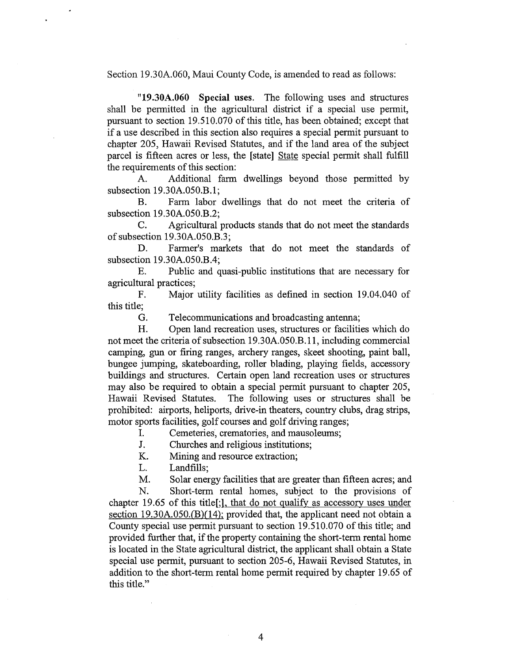Section 19.30A.060, Maui County Code, is amended to read as follows:

**"19.30A.060 Special** uses. The following uses and structures shall be permitted in the agricultural district if a special use permit, pursuant to section 19.510.070 of this title, has been obtained; except that if a use described in this section also requires a special permit pursuant to chapter 205, Hawaii Revised Statutes, and if the land area of the subject parcel is fifteen acres or less, the [state] State special permit shall fulfill the requirements of this section:

A. Additional farm dwellings beyond those permitted by subsection 19 .30A.050.B.1;

B. Farm labor dwellings that do not meet the criteria of subsection 19.30A.050.B.2;

C. Agricultural products stands that do not meet the standards of subsection 19.30A.050.B.3;

D. Farmer's markets that do not meet the standards of subsection 19.30A.050.B.4;

E. Public and quasi-public institutions that are necessary for agricultural practices;

F. Major utility facilities as defined in section 19.04.040 of this title;

G. Telecommunications and broadcasting antenna;

H. Open land recreation uses, structures or facilities which do not meet the criteria of subsection 19.30A.050.B.11, including commercial camping, gun or firing ranges, archery ranges, skeet shooting, paint ball, bungee jumping, skateboarding, roller blading, playing fields, accessory buildings and structures. Certain open land recreation uses or structures may also be required to obtain a special permit pursuant to chapter 205, Hawaii Revised Statutes. The following uses or structures shall be prohibited: airports, heliports, drive-in theaters, country clubs, drag strips, motor sports facilities, golf courses and golf driving ranges;

I. Cemeteries, crematories, and mausoleums;

J. Churches and religious institutions;

K. Mining and resource extraction;

L. Landfills;

M. Solar energy facilities that are greater than fifteen acres; and

N. Short-term rental homes, subject to the provisions of chapter 19.65 of this title[;], that do not qualify as accessory uses under section  $19.30A.050(B)(14)$ ; provided that, the applicant need not obtain a County special use permit pursuant to section 19.510.070 of this title; and provided further that, if the property containing the short-term rental home is located in the State agricultural district, the applicant shall obtain a State special use permit, pursuant to section 205-6, Hawaii Revised Statutes, in addition to the short-term rental home permit required by chapter 19.65 of this title."